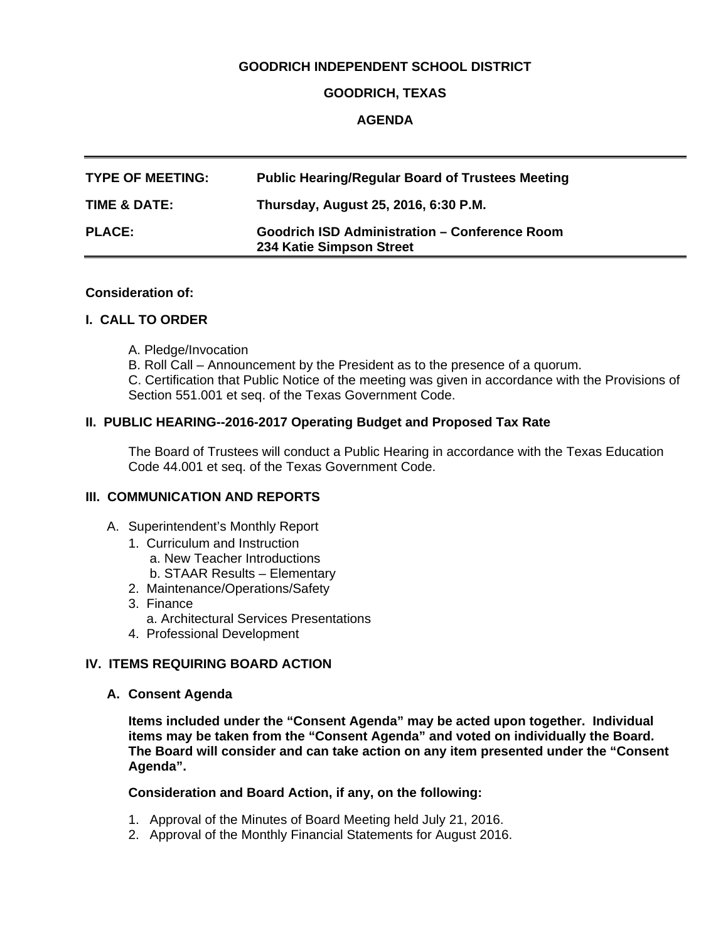## **GOODRICH INDEPENDENT SCHOOL DISTRICT**

### **GOODRICH, TEXAS**

## **AGENDA**

| <b>TYPE OF MEETING:</b> | <b>Public Hearing/Regular Board of Trustees Meeting</b>                          |
|-------------------------|----------------------------------------------------------------------------------|
| TIME & DATE:            | Thursday, August 25, 2016, 6:30 P.M.                                             |
| <b>PLACE:</b>           | <b>Goodrich ISD Administration - Conference Room</b><br>234 Katie Simpson Street |

#### **Consideration of:**

#### **I. CALL TO ORDER**

- A. Pledge/Invocation
- B. Roll Call Announcement by the President as to the presence of a quorum.

 C. Certification that Public Notice of the meeting was given in accordance with the Provisions of Section 551.001 et seq. of the Texas Government Code.

#### **II. PUBLIC HEARING--2016-2017 Operating Budget and Proposed Tax Rate**

The Board of Trustees will conduct a Public Hearing in accordance with the Texas Education Code 44.001 et seq. of the Texas Government Code.

## **III. COMMUNICATION AND REPORTS**

- A. Superintendent's Monthly Report
	- 1. Curriculum and Instruction
		- a. New Teacher Introductions
		- b. STAAR Results Elementary
	- 2. Maintenance/Operations/Safety
	- 3. Finance
		- a. Architectural Services Presentations
	- 4. Professional Development

#### **IV. ITEMS REQUIRING BOARD ACTION**

**A. Consent Agenda**

**Items included under the "Consent Agenda" may be acted upon together. Individual items may be taken from the "Consent Agenda" and voted on individually the Board. The Board will consider and can take action on any item presented under the "Consent Agenda".** 

#### **Consideration and Board Action, if any, on the following:**

- 1. Approval of the Minutes of Board Meeting held July 21, 2016.
- 2. Approval of the Monthly Financial Statements for August 2016.